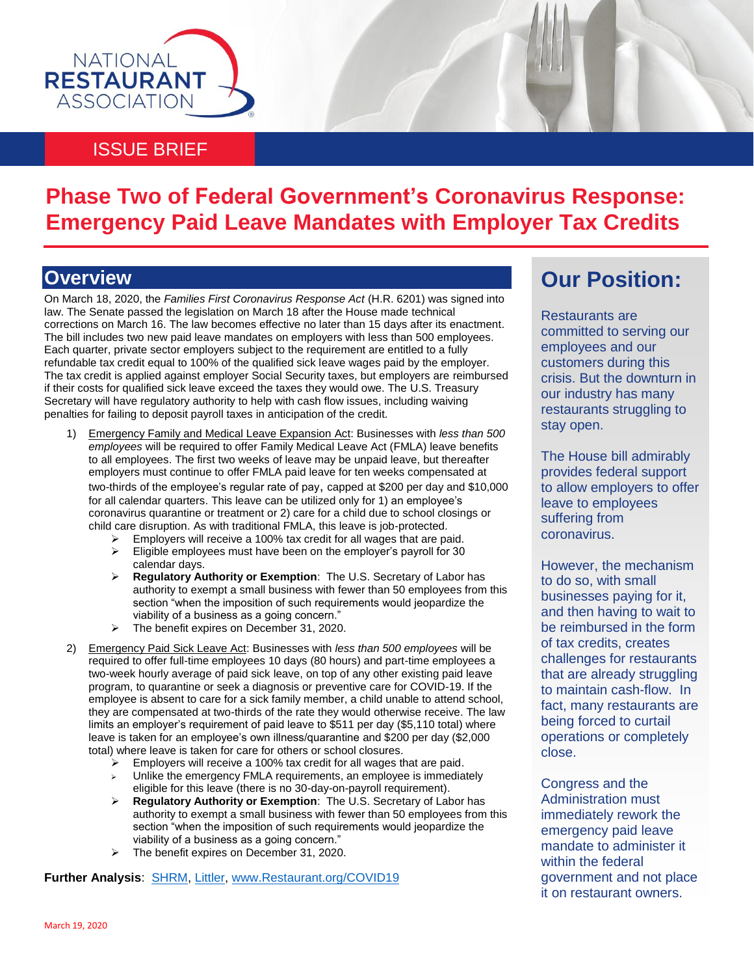

#### ISSUE BRIEF

## **Phase Two of Federal Government's Coronavirus Response: Emergency Paid Leave Mandates with Employer Tax Credits**

### **Overview**

On March 18, 2020, the *Families First Coronavirus Response Act* (H.R. 6201) was signed into law. The Senate passed the legislation on March 18 after the House made technical corrections on March 16. The law becomes effective no later than 15 days after its enactment. The bill includes two new paid leave mandates on employers with less than 500 employees. Each quarter, private sector employers subject to the requirement are entitled to a fully refundable tax credit equal to 100% of the qualified sick leave wages paid by the employer. The tax credit is applied against employer Social Security taxes, but employers are reimbursed if their costs for qualified sick leave exceed the taxes they would owe. The U.S. Treasury Secretary will have regulatory authority to help with cash flow issues, including waiving penalties for failing to deposit payroll taxes in anticipation of the credit.

- 1) Emergency Family and Medical Leave Expansion Act: Businesses with *less than 500 employees* will be required to offer Family Medical Leave Act (FMLA) leave benefits to all employees. The first two weeks of leave may be unpaid leave, but thereafter employers must continue to offer FMLA paid leave for ten weeks compensated at two-thirds of the employee's regular rate of pay, capped at \$200 per day and \$10,000 for all calendar quarters. This leave can be utilized only for 1) an employee's coronavirus quarantine or treatment or 2) care for a child due to school closings or child care disruption. As with traditional FMLA, this leave is job-protected.
	- $\triangleright$  Employers will receive a 100% tax credit for all wages that are paid.  $\triangleright$  Eligible employees must have been on the employer's payroll for 30 calendar days.
	- **Regulatory Authority or Exemption**: The U.S. Secretary of Labor has authority to exempt a small business with fewer than 50 employees from this section "when the imposition of such requirements would jeopardize the viability of a business as a going concern."
	- $\triangleright$  The benefit expires on December 31, 2020.
- 2) Emergency Paid Sick Leave Act: Businesses with *less than 500 employees* will be required to offer full-time employees 10 days (80 hours) and part-time employees a two-week hourly average of paid sick leave, on top of any other existing paid leave program, to quarantine or seek a diagnosis or preventive care for COVID-19. If the employee is absent to care for a sick family member, a child unable to attend school, they are compensated at two-thirds of the rate they would otherwise receive. The law limits an employer's requirement of paid leave to \$511 per day (\$5,110 total) where leave is taken for an employee's own illness/quarantine and \$200 per day (\$2,000 total) where leave is taken for care for others or school closures.
	- $\triangleright$  Employers will receive a 100% tax credit for all wages that are paid.
	- Unlike the emergency FMLA requirements, an employee is immediately eligible for this leave (there is no 30-day-on-payroll requirement).
	- **Regulatory Authority or Exemption**: The U.S. Secretary of Labor has authority to exempt a small business with fewer than 50 employees from this section "when the imposition of such requirements would jeopardize the viability of a business as a going concern."
	- > The benefit expires on December 31, 2020.

**Further Analysis**: [SHRM,](https://www.shrm.org/resourcesandtools/legal-and-compliance/employment-law/pages/senate-to-vote-soon-on-coronavirus-paid-leave-mandate.aspx) [Littler,](https://www.littler.com/publication-press/publication/senate-approves-paid-sick-leave-family-medical-leave-expansion-bill) [www.Restaurant.org/COVID19](http://www.restaurant.org/COVID19)

## **Our Position:**

Restaurants are committed to serving our employees and our customers during this crisis. But the downturn in our industry has many restaurants struggling to stay open.

The House bill admirably provides federal support to allow employers to offer leave to employees suffering from coronavirus.

However, the mechanism to do so, with small businesses paying for it, and then having to wait to be reimbursed in the form of tax credits, creates challenges for restaurants that are already struggling to maintain cash-flow. In fact, many restaurants are being forced to curtail operations or completely close.

Congress and the Administration must immediately rework the emergency paid leave mandate to administer it within the federal government and not place it on restaurant owners.